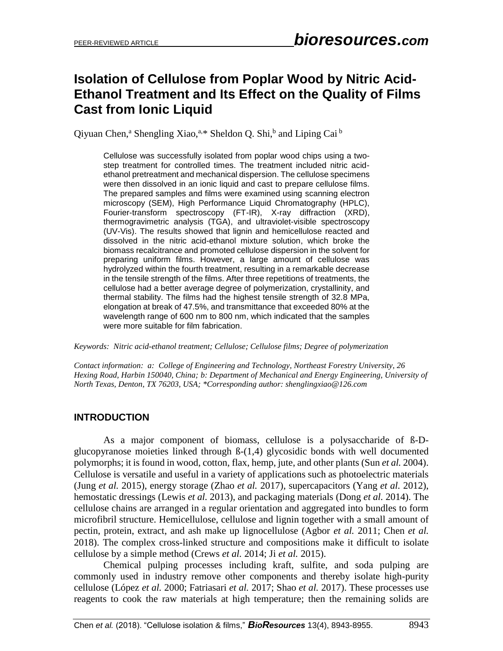# **Isolation of Cellulose from Poplar Wood by Nitric Acid-Ethanol Treatment and Its Effect on the Quality of Films Cast from Ionic Liquid**

Qiyuan Chen,<sup>a</sup> [Shengling](http://www.yourlinkhere.edu/) Xiao,<sup>a,\*</sup> Sheldon Q. Shi,<sup>b</sup> and Liping Cai <sup>b</sup>

Cellulose was successfully isolated from poplar wood chips using a twostep treatment for controlled times. The treatment included nitric acidethanol pretreatment and mechanical dispersion. The cellulose specimens were then dissolved in an ionic liquid and cast to prepare cellulose films. The prepared samples and films were examined using scanning electron microscopy (SEM), High Performance Liquid Chromatography (HPLC), Fourier-transform spectroscopy (FT-IR), X-ray diffraction (XRD), thermogravimetric analysis (TGA), and ultraviolet-visible spectroscopy (UV-Vis). The results showed that lignin and hemicellulose reacted and dissolved in the nitric acid-ethanol mixture solution, which broke the biomass recalcitrance and promoted cellulose dispersion in the solvent for preparing uniform films. However, a large amount of cellulose was hydrolyzed within the fourth treatment, resulting in a remarkable decrease in the tensile strength of the films. After three repetitions of treatments, the cellulose had a better average degree of polymerization, crystallinity, and thermal stability. The films had the highest tensile strength of 32.8 MPa, elongation at break of 47.5%, and transmittance that exceeded 80% at the wavelength range of 600 nm to 800 nm, which indicated that the samples were more suitable for film fabrication.

*Keywords: Nitric acid-ethanol treatment; Cellulose; Cellulose films; Degree of polymerization*

*Contact information: a: College of Engineering and Technology, Northeast Forestry University, 26 Hexing Road, Harbin 150040, China; b: Department of Mechanical and Energy Engineering, University of North Texas, Denton, TX 76203, USA; \*Corresponding author: shenglingxiao@126.com*

# **INTRODUCTION**

As a major component of biomass, cellulose is a polysaccharide of ß-Dglucopyranose moieties linked through ß-(1,4) glycosidic bonds with well documented polymorphs; it is found in wood, cotton, flax, hemp, jute, and other plants (Sun *et al.* 2004). Cellulose is versatile and useful in a variety of applications such as photoelectric materials (Jung *et al.* 2015), energy storage (Zhao *et al.* 2017), supercapacitors (Yang *et al.* 2012), hemostatic dressings (Lewis *et al.* 2013), and packaging materials (Dong *et al.* 2014). The cellulose chains are arranged in a regular orientation and aggregated into bundles to form microfibril structure. Hemicellulose, cellulose and lignin together with a small amount of pectin, protein, extract, and ash make up lignocellulose (Agbor *et al.* 2011; Chen *et al.* 2018). The complex cross-linked structure and compositions make it difficult to isolate cellulose by a simple method (Crews *et al.* 2014; Ji *et al.* 2015).

Chemical pulping processes including kraft, sulfite, and soda pulping are commonly used in industry remove other components and thereby isolate high-purity cellulose (López *et al.* 2000; Fatriasari *et al.* 2017; Shao *et al.* 2017). These processes use reagents to cook the raw materials at high temperature; then the remaining solids are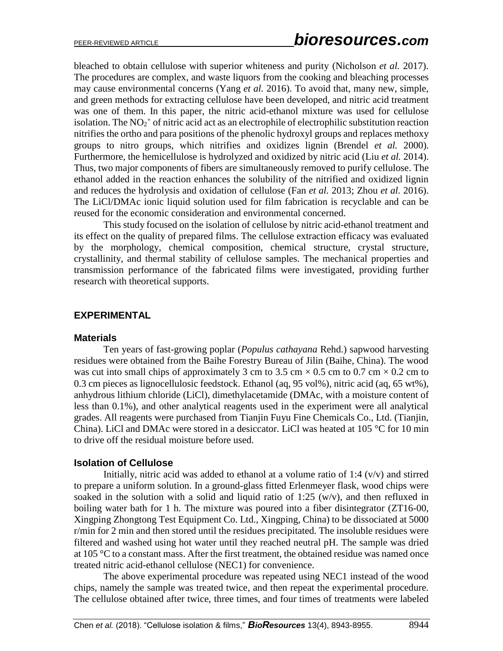bleached to obtain cellulose with superior whiteness and purity (Nicholson *et al.* 2017). The procedures are complex, and waste liquors from the cooking and bleaching processes may cause environmental concerns (Yang *et al.* 2016). To avoid that, many new, simple, and green methods for extracting cellulose have been developed, and nitric acid treatment was one of them. In this paper, the nitric acid-ethanol mixture was used for cellulose isolation. The  $NO<sub>2</sub><sup>+</sup>$  of nitric acid act as an electrophile of electrophilic substitution reaction nitrifies the ortho and para positions of the phenolic hydroxyl groups and replaces methoxy groups to nitro groups, which nitrifies and oxidizes lignin (Brendel *et al.* 2000). Furthermore, the hemicellulose is hydrolyzed and oxidized by nitric acid (Liu *et al.* 2014). Thus, two major components of fibers are simultaneously removed to purify cellulose. The ethanol added in the reaction enhances the solubility of the nitrified and oxidized lignin and reduces the hydrolysis and oxidation of cellulose (Fan *et al.* 2013; Zhou *et al.* 2016). The LiCl/DMAc ionic liquid solution used for film fabrication is recyclable and can be reused for the economic consideration and environmental concerned.

This study focused on the isolation of cellulose by nitric acid-ethanol treatment and its effect on the quality of prepared films. The cellulose extraction efficacy was evaluated by the morphology, chemical composition, chemical structure, crystal structure, crystallinity, and thermal stability of cellulose samples. The mechanical properties and transmission performance of the fabricated films were investigated, providing further research with theoretical supports.

# **EXPERIMENTAL**

# **Materials**

Ten years of fast-growing poplar (*Populus cathayana* Rehd.) sapwood harvesting residues were obtained from the Baihe Forestry Bureau of Jilin (Baihe, China). The wood was cut into small chips of approximately 3 cm to 3.5 cm  $\times$  0.5 cm to 0.7 cm  $\times$  0.2 cm to 0.3 cm pieces as lignocellulosic feedstock. Ethanol (aq, 95 vol%), nitric acid (aq, 65 wt%), anhydrous lithium chloride (LiCl), dimethylacetamide (DMAc, with a moisture content of less than 0.1%), and other analytical reagents used in the experiment were all analytical grades. All reagents were purchased from Tianjin Fuyu Fine Chemicals Co., Ltd. (Tianjin, China). LiCl and DMAc were stored in a desiccator. LiCl was heated at  $105^{\circ}$ C for 10 min to drive off the residual moisture before used.

#### **Isolation of Cellulose**

Initially, nitric acid was added to ethanol at a volume ratio of  $1:4$  ( $v/v$ ) and stirred to prepare a uniform solution. In a ground-glass fitted Erlenmeyer flask, wood chips were soaked in the solution with a solid and liquid ratio of 1:25 (w/v), and then refluxed in boiling water bath for 1 h. The mixture was poured into a fiber disintegrator (ZT16-00, Xingping Zhongtong Test Equipment Co. Ltd., Xingping, China) to be dissociated at 5000 r/min for 2 min and then stored until the residues precipitated. The insoluble residues were filtered and washed using hot water until they reached neutral pH. The sample was dried at 105 °C to a constant mass. After the first treatment, the obtained residue was named once treated nitric acid-ethanol cellulose (NEC1) for convenience.

The above experimental procedure was repeated using NEC1 instead of the wood chips, namely the sample was treated twice, and then repeat the experimental procedure. The cellulose obtained after twice, three times, and four times of treatments were labeled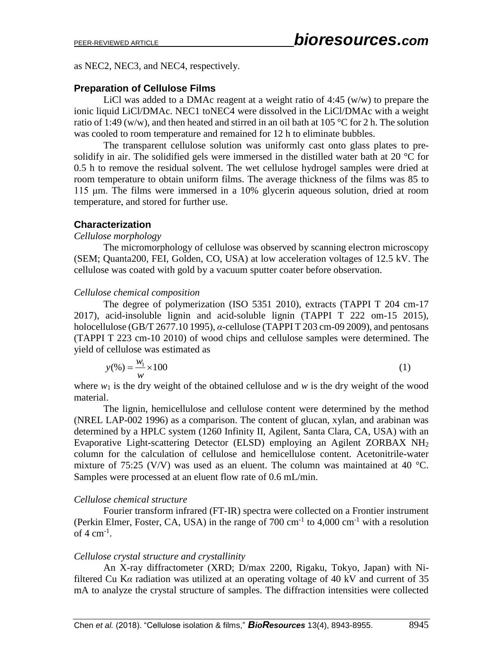as NEC2, NEC3, and NEC4, respectively.

# **Preparation of Cellulose Films**

LiCl was added to a DMAc reagent at a weight ratio of 4:45 (w/w) to prepare the ionic liquid LiCl/DMAc. NEC1 toNEC4 were dissolved in the LiCl/DMAc with a weight ratio of 1:49 (w/w), and then heated and stirred in an oil bath at 105 °C for 2 h. The solution was cooled to room temperature and remained for 12 h to eliminate bubbles.

The transparent cellulose solution was uniformly cast onto glass plates to presolidify in air. The solidified gels were immersed in the distilled water bath at 20 °C for 0.5 h to remove the residual solvent. The wet cellulose hydrogel samples were dried at room temperature to obtain uniform films. The average thickness of the films was 85 to 115 μm. The films were immersed in a 10% glycerin aqueous solution, dried at room temperature, and stored for further use.

# **Characterization**

### *Cellulose morphology*

The micromorphology of cellulose was observed by scanning electron microscopy (SEM; Quanta200, FEI, Golden, CO, USA) at low acceleration voltages of 12.5 kV. The cellulose was coated with gold by a vacuum sputter coater before observation.

# *Cellulose chemical composition*

The degree of polymerization (ISO 5351 2010), extracts (TAPPI T 204 cm-17 2017), acid-insoluble lignin and acid-soluble lignin (TAPPI T 222 om-15 2015), holocellulose (GB/T 2677.10 1995), *α*-cellulose (TAPPI T 203 cm-09 2009), and pentosans (TAPPI T 223 cm-10 2010) of wood chips and cellulose samples were determined. The yield of cellulose was estimated as

$$
y(\%)=\frac{w_1}{w} \times 100
$$
 (1)

where  $w_1$  is the dry weight of the obtained cellulose and  $w$  is the dry weight of the wood material.

The lignin, hemicellulose and cellulose content were determined by the method (NREL LAP-002 1996) as a comparison. The content of glucan, xylan, and arabinan was determined by a HPLC system (1260 Infinity II, Agilent, Santa Clara, CA, USA) with an Evaporative Light-scattering Detector (ELSD) employing an Agilent ZORBAX NH<sup>2</sup> column for the calculation of cellulose and hemicellulose content. Acetonitrile-water mixture of 75:25 (V/V) was used as an eluent. The column was maintained at 40  $^{\circ}$ C. Samples were processed at an eluent flow rate of 0.6 mL/min.

# *Cellulose chemical structure*

Fourier transform infrared (FT-IR) spectra were collected on a Frontier instrument (Perkin Elmer, Foster, CA, USA) in the range of  $700 \text{ cm}^{-1}$  to  $4,000 \text{ cm}^{-1}$  with a resolution of 4  $cm^{-1}$ .

# *Cellulose crystal structure and crystallinity*

An X-ray diffractometer (XRD; D/max 2200, Rigaku, Tokyo, Japan) with Nifiltered Cu K*α* radiation was utilized at an operating voltage of 40 kV and current of 35 mA to analyze the crystal structure of samples. The diffraction intensities were collected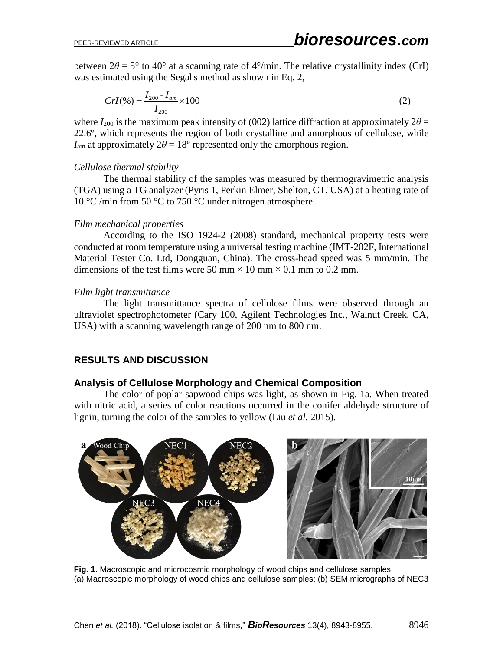between  $2\theta = 5^{\circ}$  to  $40^{\circ}$  at a scanning rate of  $4^{\circ}/\text{min}$ . The relative crystallinity index (CrI) was estimated using the Segal's method as shown in Eq. 2,

$$
Crl(\%)=\frac{I_{200}-I_{am}}{I_{200}}\times100\tag{2}
$$

where  $I_{200}$  is the maximum peak intensity of (002) lattice diffraction at approximately  $2\theta =$ 22.6º, which represents the region of both crystalline and amorphous of cellulose, while  $I_{\text{am}}$  at approximately  $2\theta = 18^{\circ}$  represented only the amorphous region.

#### *Cellulose thermal stability*

The thermal stability of the samples was measured by thermogravimetric analysis (TGA) using a TG analyzer (Pyris 1, Perkin Elmer, Shelton, CT, USA) at a heating rate of 10 °C /min from 50 °C to 750 °C under nitrogen atmosphere.

#### *Film mechanical properties*

According to the ISO 1924-2 (2008) standard, mechanical property tests were conducted at room temperature using a universal testing machine (IMT-202F, International Material Tester Co. Ltd, Dongguan, China). The cross-head speed was 5 mm/min. The dimensions of the test films were 50 mm  $\times$  10 mm  $\times$  0.1 mm to 0.2 mm.

#### *Film light transmittance*

The light transmittance spectra of cellulose films were observed through an ultraviolet spectrophotometer (Cary 100, Agilent Technologies Inc., Walnut Creek, CA, USA) with a scanning wavelength range of 200 nm to 800 nm.

#### **RESULTS AND DISCUSSION**

#### **Analysis of Cellulose Morphology and Chemical Composition**

The color of poplar sapwood chips was light, as shown in Fig. 1a. When treated with nitric acid, a series of color reactions occurred in the conifer aldehyde structure of lignin, turning the color of the samples to yellow (Liu *et al.* 2015).



**Fig. 1.** Macroscopic and microcosmic morphology of wood chips and cellulose samples: (a) Macroscopic morphology of wood chips and cellulose samples; (b) SEM micrographs of NEC3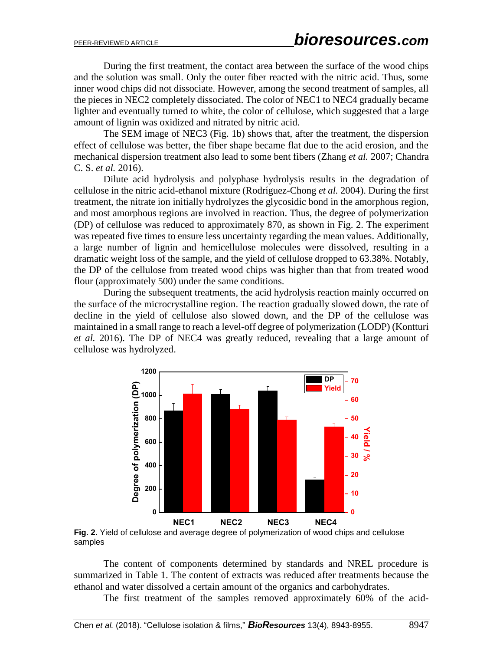During the first treatment, the contact area between the surface of the wood chips and the solution was small. Only the outer fiber reacted with the nitric acid. Thus, some inner wood chips did not dissociate. However, among the second treatment of samples, all the pieces in NEC2 completely dissociated. The color of NEC1 to NEC4 gradually became lighter and eventually turned to white, the color of cellulose, which suggested that a large amount of lignin was oxidized and nitrated by nitric acid.

The SEM image of NEC3 (Fig. 1b) shows that, after the treatment, the dispersion effect of cellulose was better, the fiber shape became flat due to the acid erosion, and the mechanical dispersion treatment also lead to some bent fibers (Zhang *et al.* 2007; Chandra C. S. *et al.* 2016).

Dilute acid hydrolysis and polyphase hydrolysis results in the degradation of cellulose in the nitric acid-ethanol mixture (Rodrı́guez-Chong *et al.* 2004). During the first treatment, the nitrate ion initially hydrolyzes the glycosidic bond in the amorphous region, and most amorphous regions are involved in reaction. Thus, the degree of polymerization (DP) of cellulose was reduced to approximately 870, as shown in Fig. 2. The experiment was repeated five times to ensure less uncertainty regarding the mean values. Additionally, a large number of lignin and hemicellulose molecules were dissolved, resulting in a dramatic weight loss of the sample, and the yield of cellulose dropped to 63.38%. Notably, the DP of the cellulose from treated wood chips was higher than that from treated wood flour (approximately 500) under the same conditions.

During the subsequent treatments, the acid hydrolysis reaction mainly occurred on the surface of the microcrystalline region. The reaction gradually slowed down, the rate of decline in the yield of cellulose also slowed down, and the DP of the cellulose was maintained in a small range to reach a level-off degree of polymerization (LODP) (Kontturi *et al.* 2016). The DP of NEC4 was greatly reduced, revealing that a large amount of cellulose was hydrolyzed.



**Fig. 2.** Yield of cellulose and average degree of polymerization of wood chips and cellulose samples

The content of components determined by standards and NREL procedure is summarized in Table 1. The content of extracts was reduced after treatments because the ethanol and water dissolved a certain amount of the organics and carbohydrates.

The first treatment of the samples removed approximately 60% of the acid-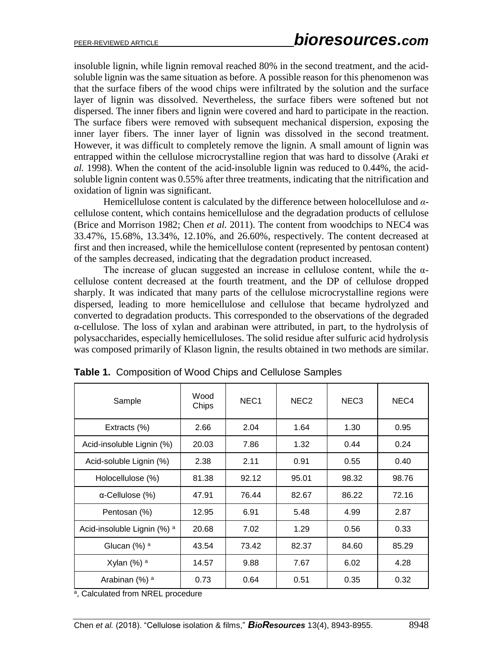insoluble lignin, while lignin removal reached 80% in the second treatment, and the acidsoluble lignin was the same situation as before. A possible reason for this phenomenon was that the surface fibers of the wood chips were infiltrated by the solution and the surface layer of lignin was dissolved. Nevertheless, the surface fibers were softened but not dispersed. The inner fibers and lignin were covered and hard to participate in the reaction. The surface fibers were removed with subsequent mechanical dispersion, exposing the inner layer fibers. The inner layer of lignin was dissolved in the second treatment. However, it was difficult to completely remove the lignin. A small amount of lignin was entrapped within the cellulose microcrystalline region that was hard to dissolve (Araki *et al.* 1998). When the content of the acid-insoluble lignin was reduced to 0.44%, the acidsoluble lignin content was 0.55% after three treatments, indicating that the nitrification and oxidation of lignin was significant.

Hemicellulose content is calculated by the difference between holocellulose and *α*cellulose content, which contains hemicellulose and the degradation products of cellulose (Brice and Morrison 1982; Chen *et al.* 2011). The content from woodchips to NEC4 was 33.47%, 15.68%, 13.34%, 12.10%, and 26.60%, respectively. The content decreased at first and then increased, while the hemicellulose content (represented by pentosan content) of the samples decreased, indicating that the degradation product increased.

The increase of glucan suggested an increase in cellulose content, while the  $\alpha$ cellulose content decreased at the fourth treatment, and the DP of cellulose dropped sharply. It was indicated that many parts of the cellulose microcrystalline regions were dispersed, leading to more hemicellulose and cellulose that became hydrolyzed and converted to degradation products. This corresponded to the observations of the degraded α-cellulose. The loss of xylan and arabinan were attributed, in part, to the hydrolysis of polysaccharides, especially hemicelluloses. The solid residue after sulfuric acid hydrolysis was composed primarily of Klason lignin, the results obtained in two methods are similar.

| Sample                      | Wood<br>Chips | NEC <sub>1</sub> | NEC <sub>2</sub> | NEC <sub>3</sub> | NEC <sub>4</sub> |
|-----------------------------|---------------|------------------|------------------|------------------|------------------|
| Extracts (%)                | 2.66          | 2.04             | 1.64             | 1.30             | 0.95             |
| Acid-insoluble Lignin (%)   | 20.03         | 7.86             | 1.32             | 0.44             | 0.24             |
| Acid-soluble Lignin (%)     | 2.38          | 2.11             | 0.91             | 0.55             | 0.40             |
| Holocellulose (%)           | 81.38         | 92.12            | 95.01            | 98.32            | 98.76            |
| $\alpha$ -Cellulose (%)     | 47.91         | 76.44            | 82.67            | 86.22            | 72.16            |
| Pentosan (%)                | 12.95         | 6.91             | 5.48             | 4.99             | 2.87             |
| Acid-insoluble Lignin (%) a | 20.68         | 7.02             | 1.29             | 0.56             | 0.33             |
| Glucan (%) <sup>a</sup>     | 43.54         | 73.42            | 82.37            | 84.60            | 85.29            |
| Xylan $(\%)$ <sup>a</sup>   | 14.57         | 9.88             | 7.67             | 6.02             | 4.28             |
| Arabinan (%) <sup>a</sup>   | 0.73          | 0.64             | 0.51             | 0.35             | 0.32             |

**Table 1.** Composition of Wood Chips and Cellulose Samples

<sup>a</sup>, Calculated from NREL procedure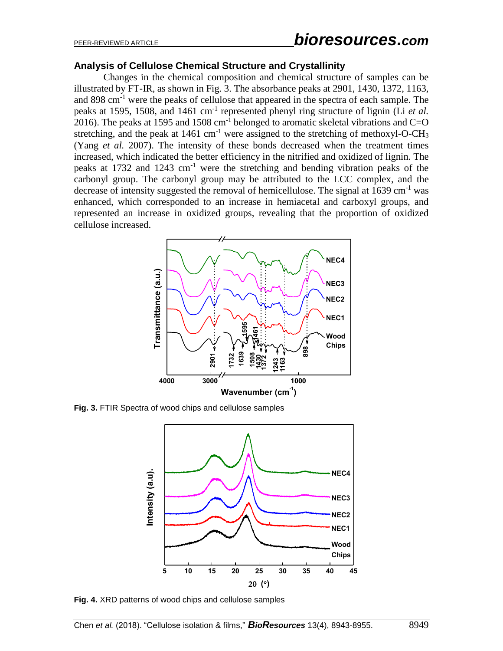#### **Analysis of Cellulose Chemical Structure and Crystallinity**

Changes in the chemical composition and chemical structure of samples can be illustrated by FT-IR, as shown in Fig. 3. The absorbance peaks at 2901, 1430, 1372, 1163, and 898 cm<sup>-1</sup> were the peaks of cellulose that appeared in the spectra of each sample. The peaks at 1595, 1508, and 1461 cm<sup>-1</sup> represented phenyl ring structure of lignin (Li *et al.*) 2016). The peaks at 1595 and 1508  $cm^{-1}$  belonged to aromatic skeletal vibrations and C=O stretching, and the peak at  $1461 \text{ cm}^{-1}$  were assigned to the stretching of methoxyl-O-CH<sub>3</sub> (Yang *et al.* 2007). The intensity of these bonds decreased when the treatment times increased, which indicated the better efficiency in the nitrified and oxidized of lignin. The peaks at 1732 and 1243 cm<sup>-1</sup> were the stretching and bending vibration peaks of the carbonyl group. The carbonyl group may be attributed to the LCC complex, and the decrease of intensity suggested the removal of hemicellulose. The signal at 1639 cm<sup>-1</sup> was enhanced, which corresponded to an increase in hemiacetal and carboxyl groups, and represented an increase in oxidized groups, revealing that the proportion of oxidized cellulose increased.



**Fig. 3.** FTIR Spectra of wood chips and cellulose samples



**Fig. 4.** XRD patterns of wood chips and cellulose samples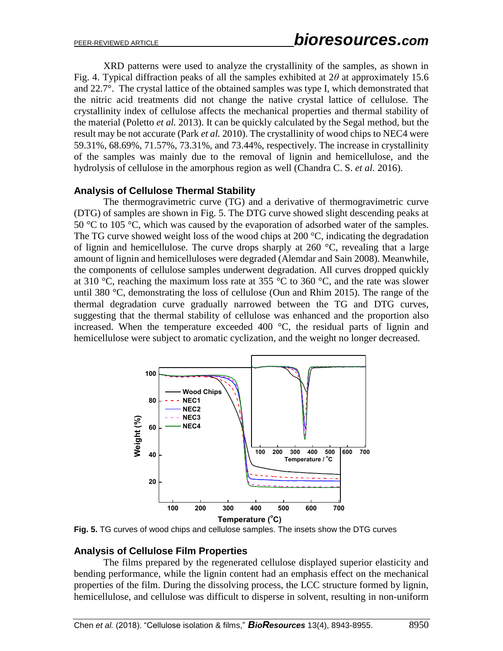XRD patterns were used to analyze the crystallinity of the samples, as shown in Fig. 4. Typical diffraction peaks of all the samples exhibited at 2*θ* at approximately 15.6 and 22.7°. The crystal lattice of the obtained samples was type I, which demonstrated that the nitric acid treatments did not change the native crystal lattice of cellulose. The crystallinity index of cellulose affects the mechanical properties and thermal stability of the material (Poletto *et al.* 2013). It can be quickly calculated by the Segal method, but the result may be not accurate (Park *et al.* 2010). The crystallinity of wood chips to NEC4 were 59.31%, 68.69%, 71.57%, 73.31%, and 73.44%, respectively. The increase in crystallinity of the samples was mainly due to the removal of lignin and hemicellulose, and the hydrolysis of cellulose in the amorphous region as well (Chandra C. S. *et al.* 2016).

### **Analysis of Cellulose Thermal Stability**

The thermogravimetric curve (TG) and a derivative of thermogravimetric curve (DTG) of samples are shown in Fig. 5. The DTG curve showed slight descending peaks at 50  $\degree$ C to 105  $\degree$ C, which was caused by the evaporation of adsorbed water of the samples. The TG curve showed weight loss of the wood chips at 200 °C, indicating the degradation of lignin and hemicellulose. The curve drops sharply at  $260^{\circ}$ C, revealing that a large amount of lignin and hemicelluloses were degraded (Alemdar and Sain 2008). Meanwhile, the components of cellulose samples underwent degradation. All curves dropped quickly at 310 °C, reaching the maximum loss rate at 355 °C to 360 °C, and the rate was slower until 380 °C, demonstrating the loss of cellulose (Oun and Rhim 2015). The range of the thermal degradation curve gradually narrowed between the TG and DTG curves, suggesting that the thermal stability of cellulose was enhanced and the proportion also increased. When the temperature exceeded 400  $^{\circ}$ C, the residual parts of lignin and hemicellulose were subject to aromatic cyclization, and the weight no longer decreased.



**Fig. 5.** TG curves of wood chips and cellulose samples. The insets show the DTG curves

# **Analysis of Cellulose Film Properties**

The films prepared by the regenerated cellulose displayed superior elasticity and bending performance, while the lignin content had an emphasis effect on the mechanical properties of the film. During the dissolving process, the LCC structure formed by lignin, hemicellulose, and cellulose was difficult to disperse in solvent, resulting in non-uniform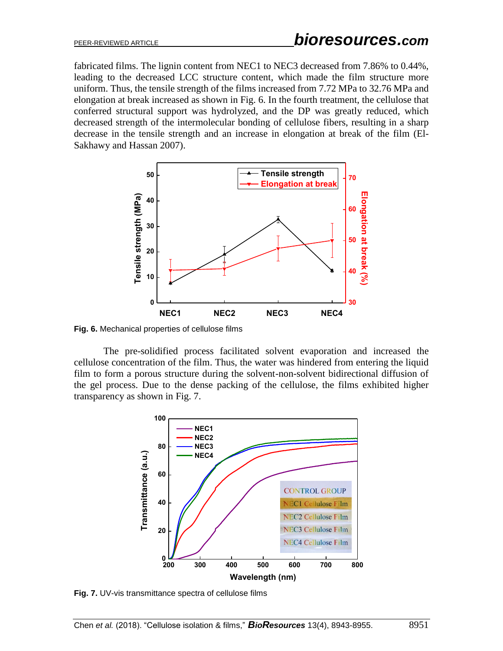fabricated films. The lignin content from NEC1 to NEC3 decreased from 7.86% to 0.44%, leading to the decreased LCC structure content, which made the film structure more uniform. Thus, the tensile strength of the films increased from 7.72 MPa to 32.76 MPa and elongation at break increased as shown in Fig. 6. In the fourth treatment, the cellulose that conferred structural support was hydrolyzed, and the DP was greatly reduced, which decreased strength of the intermolecular bonding of cellulose fibers, resulting in a sharp decrease in the tensile strength and an increase in elongation at break of the film (El-Sakhawy and Hassan 2007).



**Fig. 6.** Mechanical properties of cellulose films

The pre-solidified process facilitated solvent evaporation and increased the cellulose concentration of the film. Thus, the water was hindered from entering the liquid film to form a porous structure during the solvent-non-solvent bidirectional diffusion of the gel process. Due to the dense packing of the cellulose, the films exhibited higher transparency as shown in Fig. 7.



**Fig. 7.** UV-vis transmittance spectra of cellulose films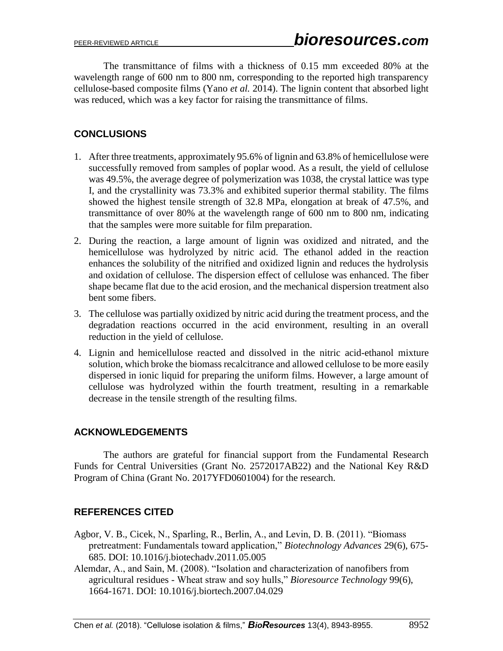The transmittance of films with a thickness of 0.15 mm exceeded 80% at the wavelength range of 600 nm to 800 nm, corresponding to the reported high transparency cellulose-based composite films (Yano *et al.* 2014). The lignin content that absorbed light was reduced, which was a key factor for raising the transmittance of films.

# **CONCLUSIONS**

- 1. After three treatments, approximately 95.6% of lignin and 63.8% of hemicellulose were successfully removed from samples of poplar wood. As a result, the yield of cellulose was 49.5%, the average degree of polymerization was 1038, the crystal lattice was type I, and the crystallinity was 73.3% and exhibited superior thermal stability. The films showed the highest tensile strength of 32.8 MPa, elongation at break of 47.5%, and transmittance of over 80% at the wavelength range of 600 nm to 800 nm, indicating that the samples were more suitable for film preparation.
- 2. During the reaction, a large amount of lignin was oxidized and nitrated, and the hemicellulose was hydrolyzed by nitric acid. The ethanol added in the reaction enhances the solubility of the nitrified and oxidized lignin and reduces the hydrolysis and oxidation of cellulose. The dispersion effect of cellulose was enhanced. The fiber shape became flat due to the acid erosion, and the mechanical dispersion treatment also bent some fibers.
- 3. The cellulose was partially oxidized by nitric acid during the treatment process, and the degradation reactions occurred in the acid environment, resulting in an overall reduction in the yield of cellulose.
- 4. Lignin and hemicellulose reacted and dissolved in the nitric acid-ethanol mixture solution, which broke the biomass recalcitrance and allowed cellulose to be more easily dispersed in ionic liquid for preparing the uniform films. However, a large amount of cellulose was hydrolyzed within the fourth treatment, resulting in a remarkable decrease in the tensile strength of the resulting films.

# **ACKNOWLEDGEMENTS**

The authors are grateful for financial support from the Fundamental Research Funds for Central Universities (Grant No. 2572017AB22) and the National Key R&D Program of China (Grant No. 2017YFD0601004) for the research.

# **REFERENCES CITED**

- Agbor, V. B., Cicek, N., Sparling, R., Berlin, A., and Levin, D. B. (2011). "Biomass pretreatment: Fundamentals toward application," *Biotechnology Advances* 29(6), 675- 685. DOI: 10.1016/j.biotechadv.2011.05.005
- Alemdar, A., and Sain, M. (2008). "Isolation and characterization of nanofibers from agricultural residues - Wheat straw and soy hulls," *Bioresource Technology* 99(6), 1664-1671. DOI: 10.1016/j.biortech.2007.04.029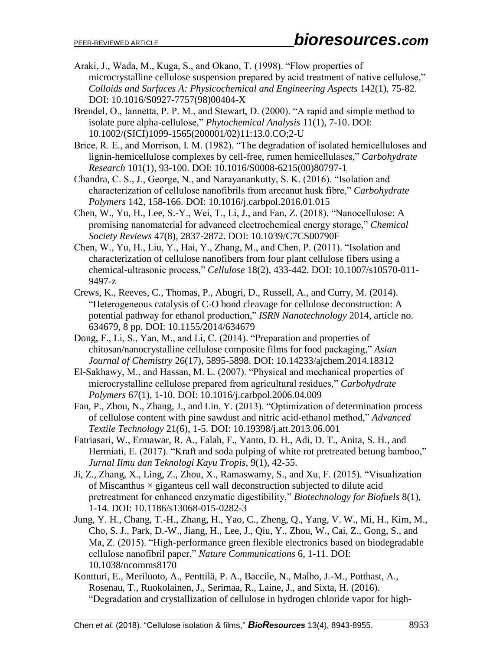- Araki, J., Wada, M., Kuga, S., and Okano, T. (1998). "Flow properties of microcrystalline cellulose suspension prepared by acid treatment of native cellulose," *Colloids and Surfaces A: Physicochemical and Engineering Aspects* 142(1), 75-82. DOI: 10.1016/S0927-7757(98)00404-X
- Brendel, O., Iannetta, P. P. M., and Stewart, D. (2000). "A rapid and simple method to isolate pure alpha-cellulose," *Phytochemical Analysis* 11(1), 7-10. DOI: 10.1002/(SICI)1099-1565(200001/02)11:13.0.CO;2-U
- Brice, R. E., and Morrison, I. M. (1982). "The degradation of isolated hemicelluloses and lignin-hemicellulose complexes by cell-free, rumen hemicellulases," *Carbohydrate Research* 101(1), 93-100. DOI: 10.1016/S0008-6215(00)80797-1
- Chandra, C. S., J., George, N., and Narayanankutty, S. K. (2016). "Isolation and characterization of cellulose nanofibrils from arecanut husk fibre," *Carbohydrate Polymers* 142, 158-166. DOI: 10.1016/j.carbpol.2016.01.015
- Chen, W., Yu, H., Lee, S.-Y., Wei, T., Li, J., and Fan, Z. (2018). "Nanocellulose: A promising nanomaterial for advanced electrochemical energy storage," *Chemical Society Reviews* 47(8), 2837-2872. DOI: 10.1039/C7CS00790F
- Chen, W., Yu, H., Liu, Y., Hai, Y., Zhang, M., and Chen, P. (2011). "Isolation and characterization of cellulose nanofibers from four plant cellulose fibers using a chemical-ultrasonic process," *Cellulose* 18(2), 433-442. DOI: 10.1007/s10570-011- 9497-z
- Crews, K., Reeves, C., Thomas, P., Abugri, D., Russell, A., and Curry, M. (2014). "Heterogeneous catalysis of C-O bond cleavage for cellulose deconstruction: A potential pathway for ethanol production," *ISRN Nanotechnology* 2014, article no. 634679, 8 pp. DOI: 10.1155/2014/634679
- Dong, F., Li, S., Yan, M., and Li, C. (2014). "Preparation and properties of chitosan/nanocrystalline cellulose composite films for food packaging," *Asian Journal of Chemistry* 26(17), 5895-5898. DOI: 10.14233/ajchem.2014.18312
- El-Sakhawy, M., and Hassan, M. L. (2007). "Physical and mechanical properties of microcrystalline cellulose prepared from agricultural residues," *Carbohydrate Polymers* 67(1), 1-10. DOI: 10.1016/j.carbpol.2006.04.009
- Fan, P., Zhou, N., Zhang, J., and Lin, Y. (2013). "Optimization of determination process of cellulose content with pine sawdust and nitric acid-ethanol method," *Advanced Textile Technology* 21(6), 1-5. DOI: 10.19398/j.att.2013.06.001
- Fatriasari, W., Ermawar, R. A., Falah, F., Yanto, D. H., Adi, D. T., Anita, S. H., and Hermiati, E. (2017). "Kraft and soda pulping of white rot pretreated betung bamboo," *Jurnal Ilmu dan Teknologi Kayu Tropis*, 9(1), 42-55.
- Ji, Z., Zhang, X., Ling, Z., Zhou, X., Ramaswamy, S., and Xu, F. (2015). "Visualization of Miscanthus  $\times$  giganteus cell wall deconstruction subjected to dilute acid pretreatment for enhanced enzymatic digestibility," *Biotechnology for Biofuels* 8(1), 1-14. DOI: 10.1186/s13068-015-0282-3
- Jung, Y. H., Chang, T.-H., Zhang, H., Yao, C., Zheng, Q., Yang, V. W., Mi, H., Kim, M., Cho, S. J., Park, D.-W., Jiang, H., Lee, J., Qiu, Y., Zhou, W., Cai, Z., Gong, S., and Ma, Z. (2015). "High-performance green flexible electronics based on biodegradable cellulose nanofibril paper," *Nature Communications* 6, 1-11. DOI: 10.1038/ncomms8170
- Kontturi, E., Meriluoto, A., Penttilä, P. A., Baccile, N., Malho, J.-M., Potthast, A., Rosenau, T., Ruokolainen, J., Serimaa, R., Laine, J., and Sixta, H. (2016). "Degradation and crystallization of cellulose in hydrogen chloride vapor for high-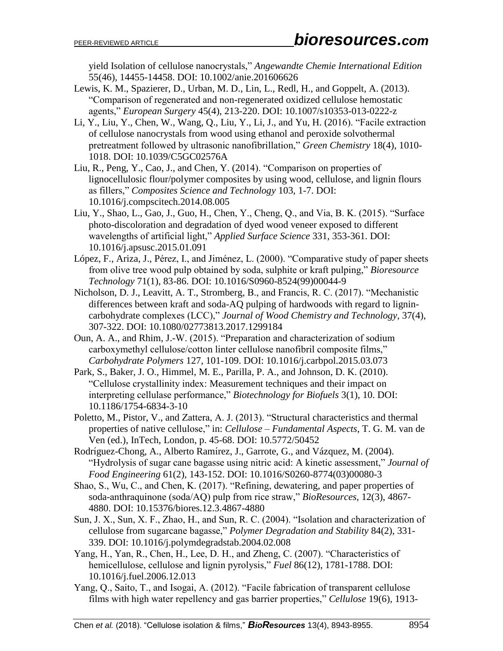yield Isolation of cellulose nanocrystals," *Angewandte Chemie International Edition* 55(46), 14455-14458. DOI: 10.1002/anie.201606626

- Lewis, K. M., Spazierer, D., Urban, M. D., Lin, L., Redl, H., and Goppelt, A. (2013). "Comparison of regenerated and non-regenerated oxidized cellulose hemostatic agents," *European Surgery* 45(4), 213-220. DOI: 10.1007/s10353-013-0222-z
- Li, Y., Liu, Y., Chen, W., Wang, Q., Liu, Y., Li, J., and Yu, H. (2016). "Facile extraction of cellulose nanocrystals from wood using ethanol and peroxide solvothermal pretreatment followed by ultrasonic nanofibrillation," *Green Chemistry* 18(4), 1010- 1018. DOI: 10.1039/C5GC02576A
- Liu, R., Peng, Y., Cao, J., and Chen, Y. (2014). "Comparison on properties of lignocellulosic flour/polymer composites by using wood, cellulose, and lignin flours as fillers," *Composites Science and Technology* 103, 1-7. DOI: 10.1016/j.compscitech.2014.08.005
- Liu, Y., Shao, L., Gao, J., Guo, H., Chen, Y., Cheng, Q., and Via, B. K. (2015). "Surface photo-discoloration and degradation of dyed wood veneer exposed to different wavelengths of artificial light," *Applied Surface Science* 331, 353-361. DOI: 10.1016/j.apsusc.2015.01.091
- López, F., Ariza, J., Pérez, I., and Jiménez, L. (2000). "Comparative study of paper sheets from olive tree wood pulp obtained by soda, sulphite or kraft pulping," *Bioresource Technology* 71(1), 83-86. DOI: 10.1016/S0960-8524(99)00044-9
- Nicholson, D. J., Leavitt, A. T., Stromberg, B., and Francis, R. C. (2017). "Mechanistic differences between kraft and soda-AQ pulping of hardwoods with regard to lignincarbohydrate complexes (LCC)," *Journal of Wood Chemistry and Technology*, 37(4), 307-322. DOI: 10.1080/02773813.2017.1299184
- Oun, A. A., and Rhim, J.-W. (2015). "Preparation and characterization of sodium carboxymethyl cellulose/cotton linter cellulose nanofibril composite films," *Carbohydrate Polymers* 127, 101-109. DOI: 10.1016/j.carbpol.2015.03.073
- Park, S., Baker, J. O., Himmel, M. E., Parilla, P. A., and Johnson, D. K. (2010). "Cellulose crystallinity index: Measurement techniques and their impact on interpreting cellulase performance," *Biotechnology for Biofuels* 3(1), 10. DOI: 10.1186/1754-6834-3-10
- Poletto, M., Pistor, V., and Zattera, A. J. (2013). "Structural characteristics and thermal properties of native cellulose," in: *Cellulose – Fundamental Aspects*, T. G. M. van de Ven (ed.), InTech, London, p. 45-68. DOI: 10.5772/50452
- Rodríguez-Chong, A., Alberto Ramírez, J., Garrote, G., and Vázquez, M. (2004). "Hydrolysis of sugar cane bagasse using nitric acid: A kinetic assessment," *Journal of Food Engineering* 61(2), 143-152. DOI: 10.1016/S0260-8774(03)00080-3
- Shao, S., Wu, C., and Chen, K. (2017). "Refining, dewatering, and paper properties of soda-anthraquinone (soda/AQ) pulp from rice straw," *BioResources*, 12(3), 4867- 4880. DOI: 10.15376/biores.12.3.4867-4880
- Sun, J. X., Sun, X. F., Zhao, H., and Sun, R. C. (2004). "Isolation and characterization of cellulose from sugarcane bagasse," *Polymer Degradation and Stability* 84(2), 331- 339. DOI: 10.1016/j.polymdegradstab.2004.02.008
- Yang, H., Yan, R., Chen, H., Lee, D. H., and Zheng, C. (2007). "Characteristics of hemicellulose, cellulose and lignin pyrolysis," *Fuel* 86(12), 1781-1788. DOI: 10.1016/j.fuel.2006.12.013
- Yang, Q., Saito, T., and Isogai, A. (2012). "Facile fabrication of transparent cellulose films with high water repellency and gas barrier properties," *Cellulose* 19(6), 1913-